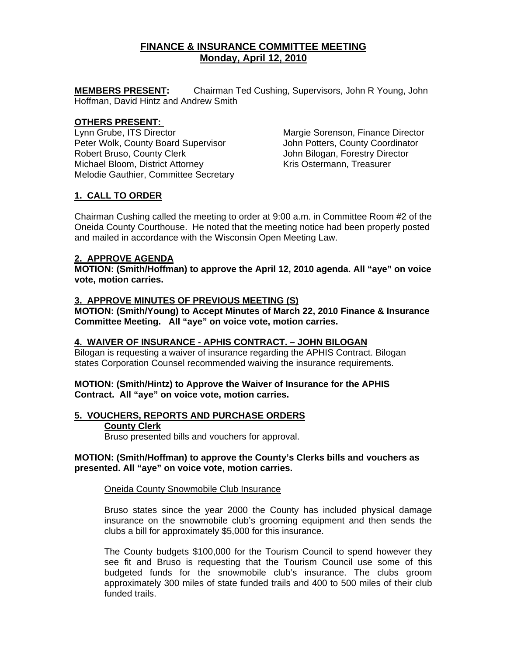# **FINANCE & INSURANCE COMMITTEE MEETING Monday, April 12, 2010**

**MEMBERS PRESENT:** Chairman Ted Cushing, Supervisors, John R Young, John Hoffman, David Hintz and Andrew Smith

### **OTHERS PRESENT:**

Lynn Grube, ITS Director **Margie Sorenson, Finance Director** Peter Wolk, County Board Supervisor **Fig. 3** John Potters, County Coordinator Robert Bruso, County Clerk and The Subhin Bilogan, Forestry Director<br>Michael Bloom, District Attorney **John Bilogan, Treasurer** Kris Ostermann, Treasurer Michael Bloom, District Attorney Melodie Gauthier, Committee Secretary

## **1. CALL TO ORDER**

Chairman Cushing called the meeting to order at 9:00 a.m. in Committee Room #2 of the Oneida County Courthouse. He noted that the meeting notice had been properly posted and mailed in accordance with the Wisconsin Open Meeting Law.

### **2. APPROVE AGENDA**

**MOTION: (Smith/Hoffman) to approve the April 12, 2010 agenda. All "aye" on voice vote, motion carries.** 

### **3. APPROVE MINUTES OF PREVIOUS MEETING (S)**

**MOTION: (Smith/Young) to Accept Minutes of March 22, 2010 Finance & Insurance Committee Meeting. All "aye" on voice vote, motion carries.** 

### **4. WAIVER OF INSURANCE - APHIS CONTRACT. – JOHN BILOGAN**

Bilogan is requesting a waiver of insurance regarding the APHIS Contract. Bilogan states Corporation Counsel recommended waiving the insurance requirements.

### **MOTION: (Smith/Hintz) to Approve the Waiver of Insurance for the APHIS Contract. All "aye" on voice vote, motion carries.**

### **5. VOUCHERS, REPORTS AND PURCHASE ORDERS**

### **County Clerk**

Bruso presented bills and vouchers for approval.

### **MOTION: (Smith/Hoffman) to approve the County's Clerks bills and vouchers as presented. All "aye" on voice vote, motion carries.**

### Oneida County Snowmobile Club Insurance

Bruso states since the year 2000 the County has included physical damage insurance on the snowmobile club's grooming equipment and then sends the clubs a bill for approximately \$5,000 for this insurance.

The County budgets \$100,000 for the Tourism Council to spend however they see fit and Bruso is requesting that the Tourism Council use some of this budgeted funds for the snowmobile club's insurance. The clubs groom approximately 300 miles of state funded trails and 400 to 500 miles of their club funded trails.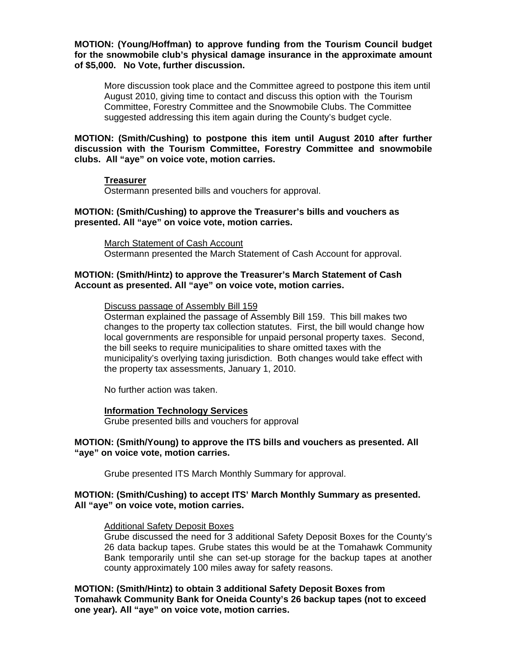**MOTION: (Young/Hoffman) to approve funding from the Tourism Council budget for the snowmobile club's physical damage insurance in the approximate amount of \$5,000. No Vote, further discussion.** 

More discussion took place and the Committee agreed to postpone this item until August 2010, giving time to contact and discuss this option with the Tourism Committee, Forestry Committee and the Snowmobile Clubs. The Committee suggested addressing this item again during the County's budget cycle.

**MOTION: (Smith/Cushing) to postpone this item until August 2010 after further discussion with the Tourism Committee, Forestry Committee and snowmobile clubs. All "aye" on voice vote, motion carries.** 

### **Treasurer**

Ostermann presented bills and vouchers for approval.

### **MOTION: (Smith/Cushing) to approve the Treasurer's bills and vouchers as presented. All "aye" on voice vote, motion carries.**

March Statement of Cash Account Ostermann presented the March Statement of Cash Account for approval.

### **MOTION: (Smith/Hintz) to approve the Treasurer's March Statement of Cash Account as presented. All "aye" on voice vote, motion carries.**

#### Discuss passage of Assembly Bill 159

Osterman explained the passage of Assembly Bill 159. This bill makes two changes to the property tax collection statutes. First, the bill would change how local governments are responsible for unpaid personal property taxes. Second, the bill seeks to require municipalities to share omitted taxes with the municipality's overlying taxing jurisdiction. Both changes would take effect with the property tax assessments, January 1, 2010.

No further action was taken.

#### **Information Technology Services**

Grube presented bills and vouchers for approval

### **MOTION: (Smith/Young) to approve the ITS bills and vouchers as presented. All "aye" on voice vote, motion carries.**

Grube presented ITS March Monthly Summary for approval.

### **MOTION: (Smith/Cushing) to accept ITS' March Monthly Summary as presented. All "aye" on voice vote, motion carries.**

#### Additional Safety Deposit Boxes

Grube discussed the need for 3 additional Safety Deposit Boxes for the County's 26 data backup tapes. Grube states this would be at the Tomahawk Community Bank temporarily until she can set-up storage for the backup tapes at another county approximately 100 miles away for safety reasons.

**MOTION: (Smith/Hintz) to obtain 3 additional Safety Deposit Boxes from Tomahawk Community Bank for Oneida County's 26 backup tapes (not to exceed one year). All "aye" on voice vote, motion carries.**